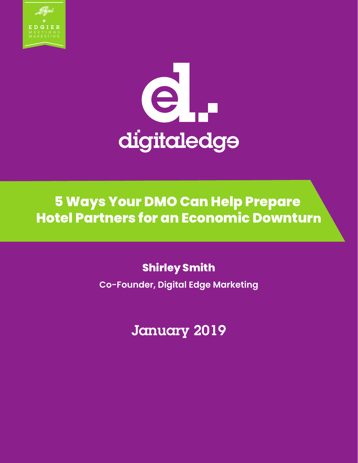



**5 Ways Your DMO Can Help Prepare Hotel Partners for an Economic Downturn**

## **Shirley Smith**

**Co-Founder, Digital Edge Marketing**

January 2019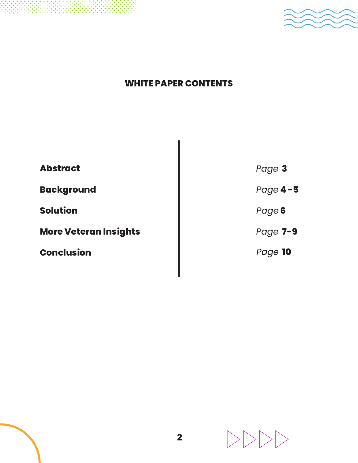



### **WHITE PAPER CONTENTS**

| <b>Abstract</b>              | Page 3   |
|------------------------------|----------|
| <b>Background</b>            | Page 4-5 |
| <b>Solution</b>              | Page 6   |
| <b>More Veteran Insights</b> | Page 7-9 |
| <b>Conclusion</b>            | Page 10  |
|                              |          |

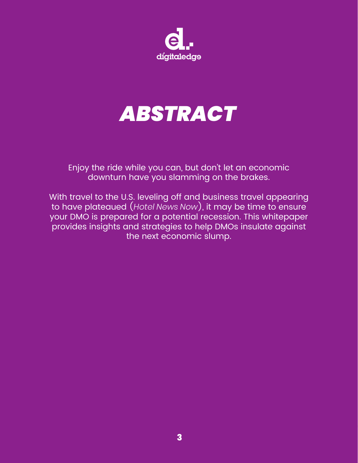

# *ABSTRACT*

Enjoy the ride while you can, but don't let an economic downturn have you slamming on the brakes.

With travel to the U.S. leveling off and business travel appearing to have plateaued (*Hotel News Now*), it may be time to ensure your DMO is prepared for a potential recession. This whitepaper provides insights and strategies to help DMOs insulate against the next economic slump.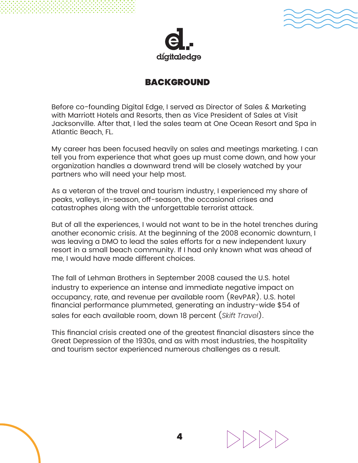



#### BACKGROUND

Before co-founding Digital Edge, I served as Director of Sales & Marketing with Marriott Hotels and Resorts, then as Vice President of Sales at Visit Jacksonville. After that, I led the sales team at One Ocean Resort and Spa in Atlantic Beach, FL.

My career has been focused heavily on sales and meetings marketing. I can tell you from experience that what goes up must come down, and how your organization handles a downward trend will be closely watched by your partners who will need your help most.

As a veteran of the travel and tourism industry, I experienced my share of peaks, valleys, in-season, off-season, the occasional crises and catastrophes along with the unforgettable terrorist attack.

But of all the experiences, I would not want to be in the hotel trenches during another economic crisis. At the beginning of the 2008 economic downturn, I was leaving a DMO to lead the sales efforts for a new independent luxury resort in a small beach community. If I had only known what was ahead of me, I would have made different choices.

The fall of Lehman Brothers in September 2008 caused the U.S. hotel industry to experience an intense and immediate negative impact on occupancy, rate, and revenue per available room (RevPAR). U.S. hotel financial performance plummeted, generating an industry-wide \$54 of sales for each available room, down 18 percent (*Skift Travel*).

This financial crisis created one of the greatest financial disasters since the Great Depression of the 1930s, and as with most industries, the hospitality and tourism sector experienced numerous challenges as a result.

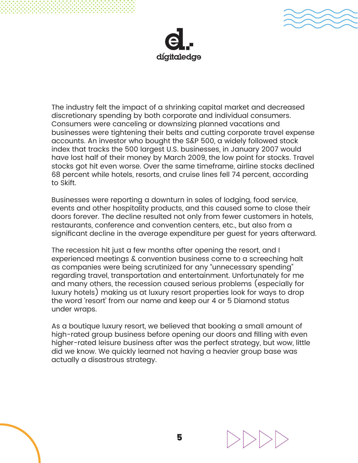



The industry felt the impact of a shrinking capital market and decreased discretionary spending by both corporate and individual consumers. Consumers were canceling or downsizing planned vacations and businesses were tightening their belts and cutting corporate travel expense accounts. An investor who bought the S&P 500, a widely followed stock index that tracks the 500 largest U.S. businesses, in January 2007 would have lost half of their money by March 2009, the low point for stocks. Travel stocks got hit even worse. Over the same timeframe, airline stocks declined 68 percent while hotels, resorts, and cruise lines fell 74 percent, according to Skift.

Businesses were reporting a downturn in sales of lodging, food service, events and other hospitality products, and this caused some to close their doors forever. The decline resulted not only from fewer customers in hotels, restaurants, conference and convention centers, etc., but also from a significant decline in the average expenditure per guest for years afterward.

The recession hit just a few months after opening the resort, and I experienced meetings & convention business come to a screeching halt as companies were being scrutinized for any "unnecessary spending" regarding travel, transportation and entertainment. Unfortunately for me and many others, the recession caused serious problems (especially for luxury hotels) making us at luxury resort properties look for ways to drop the word 'resort' from our name and keep our 4 or 5 Diamond status under wraps.

As a boutique luxury resort, we believed that booking a small amount of high-rated group business before opening our doors and filling with even higher-rated leisure business after was the perfect strategy, but wow, little did we know. We quickly learned not having a heavier group base was actually a disastrous strategy.

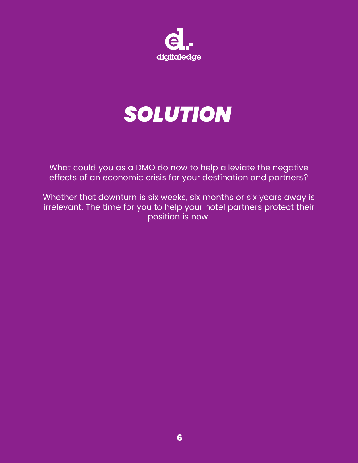

# *SOLUTION*

What could you as a DMO do now to help alleviate the negative effects of an economic crisis for your destination and partners?

Whether that downturn is six weeks, six months or six years away is irrelevant. The time for you to help your hotel partners protect their position is now.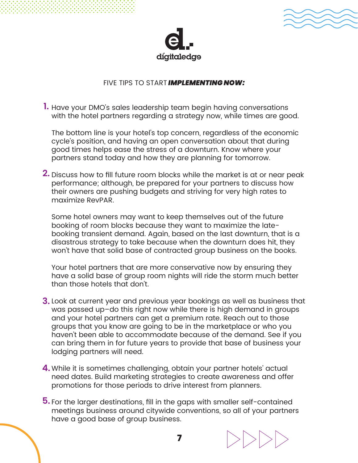



#### FIVE TIPS TO START *IMPLEMENTING NOW:*

**1.** Have your DMO's sales leadership team begin having conversations with the hotel partners regarding a strategy now, while times are good.

The bottom line is your hotel's top concern, regardless of the economic cycle's position, and having an open conversation about that during good times helps ease the stress of a downturn. Know where your partners stand today and how they are planning for tomorrow.

**2.** Discuss how to fill future room blocks while the market is at or near peak performance; although, be prepared for your partners to discuss how their owners are pushing budgets and striving for very high rates to maximize RevPAR.

Some hotel owners may want to keep themselves out of the future booking of room blocks because they want to maximize the latebooking transient demand. Again, based on the last downturn, that is a disastrous strategy to take because when the downturn does hit, they won't have that solid base of contracted group business on the books.

Your hotel partners that are more conservative now by ensuring they have a solid base of group room nights will ride the storm much better than those hotels that don't.

- **3.** Look at current year and previous year bookings as well as business that was passed up–do this right now while there is high demand in groups and your hotel partners can get a premium rate. Reach out to those groups that you know are going to be in the marketplace or who you haven't been able to accommodate because of the demand. See if you can bring them in for future years to provide that base of business your lodging partners will need.
- While it is sometimes challenging, obtain your partner hotels' actual **4.** need dates. Build marketing strategies to create awareness and offer promotions for those periods to drive interest from planners.
- For the larger destinations, fill in the gaps with smaller self-contained **5.**meetings business around citywide conventions, so all of your partners have a good base of group business.

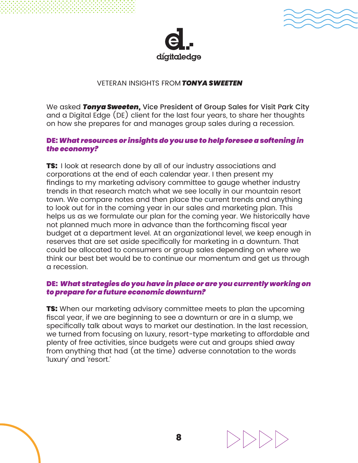



#### VETERAN INSIGHTS FROM *TONYA SWEETEN*

We asked *Tonya Sweeten,* Vice President of Group Sales for Visit Park City and a Digital Edge (DE) client for the last four years, to share her thoughts on how she prepares for and manages group sales during a recession.

#### DE: *What resources or insights do you use to help foresee a softening in the economy?*

**TS:** I look at research done by all of our industry associations and corporations at the end of each calendar year. I then present my findings to my marketing advisory committee to gauge whether industry trends in that research match what we see locally in our mountain resort town. We compare notes and then place the current trends and anything to look out for in the coming year in our sales and marketing plan. This helps us as we formulate our plan for the coming year. We historically have not planned much more in advance than the forthcoming fiscal year budget at a department level. At an organizational level, we keep enough in reserves that are set aside specifically for marketing in a downturn. That could be allocated to consumers or group sales depending on where we think our best bet would be to continue our momentum and get us through a recession.

#### DE: *What strategies do you have in place or are you currently working on to prepare for a future economic downturn?*

**TS:** When our marketing advisory committee meets to plan the upcoming fiscal year, if we are beginning to see a downturn or are in a slump, we specifically talk about ways to market our destination. In the last recession, we turned from focusing on luxury, resort-type marketing to affordable and plenty of free activities, since budgets were cut and groups shied away from anything that had (at the time) adverse connotation to the words 'luxury' and 'resort.'

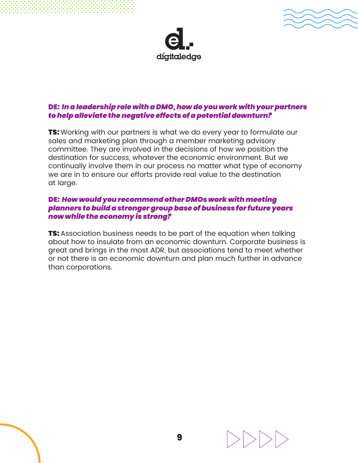



#### DE: *In a leadership role with a DMO, how do you work with your partners to help alleviate the negative effects of a potential downturn?*

**TS:** Working with our partners is what we do every year to formulate our sales and marketing plan through a member marketing advisory committee. They are involved in the decisions of how we position the destination for success, whatever the economic environment. But we continually involve them in our process no matter what type of economy we are in to ensure our efforts provide real value to the destination at large.

#### DE: *How would you recommend other DMOs work with meeting planners to build a stronger group base of business for future years now while the economy is strong?*

**TS:** Association business needs to be part of the equation when talking about how to insulate from an economic downturn. Corporate business is great and brings in the most ADR, but associations tend to meet whether or not there is an economic downturn and plan much further in advance than corporations.

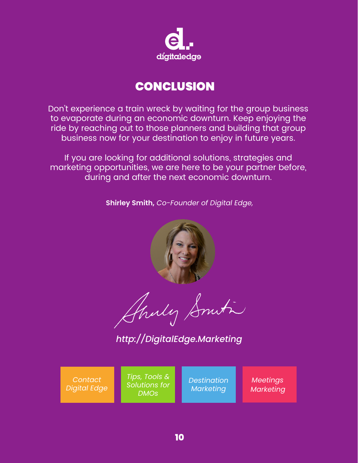

## **CONCLUSION**

Don't experience a train wreck by waiting for the group business to evaporate during an economic downturn. Keep enjoying the ride by reaching out to those planners and building that group business now for your destination to enjoy in future years.

If you are looking for additional solutions, strategies and marketing opportunities, we are here to be your partner before, during and after the next economic downturn.

**Shirley Smith,** *Co-Founder of Digital Edge,*



*[http://DigitalEdge.Marketing](https://digitaledge.marketing/?utm_medium=PDF&utm_source=DE&utm_campaign=recession_whitepaper)*

*Contact [Digital Edge](https://digitaledge.marketing/contact/?utm_medium=PDF&utm_source=DE&utm_campaign=recession_whitepaper)*

*Tips, Tools & [Solutions for](https://digitaledge.marketing/resources/?utm_medium=PDF&utm_source=DE&utm_campaign=recession_whitepaper)  DMOs*

*[Destination](https://digitaledge.marketing/destination-marketing-services/) Marketing*

*Meetings [Marketing](https://digitaledge.marketing/destination-marketing-services/?utm_medium=PDF&utm_source=DE&utm_campaign=recession_whitepaper)*

 **10**